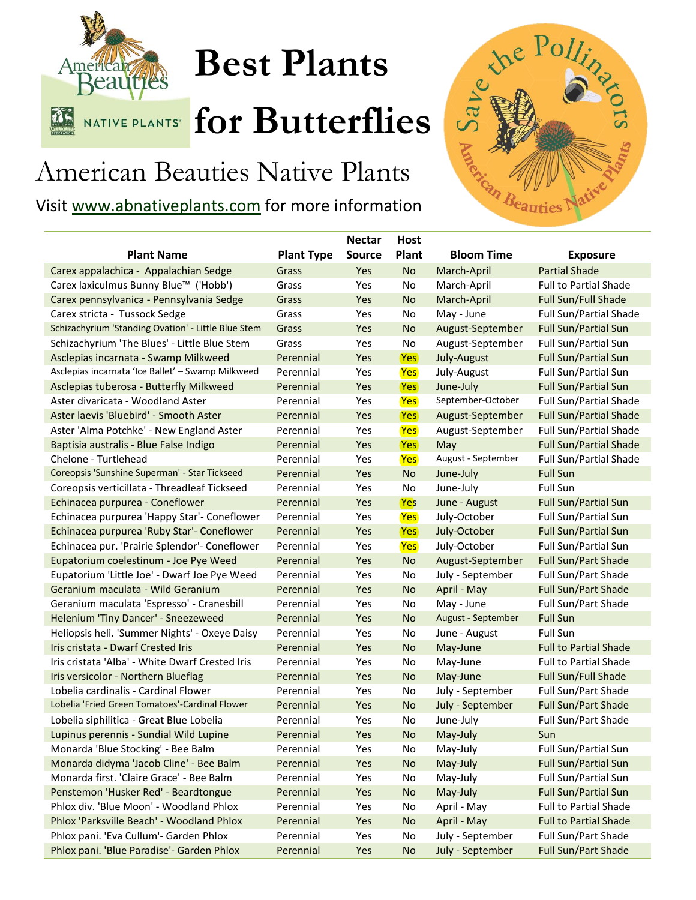

## **Best Plants**

**KATIVE PLANTS' for Butterflies** 

**Host** 

## American Beauties Native Plants

Visit [www.abnativeplants.com](http://www.abnativeplants.com/) for more information



|                                                     |                   | <b>Nectar</b> | <b>Host</b> |                    |                               |
|-----------------------------------------------------|-------------------|---------------|-------------|--------------------|-------------------------------|
| <b>Plant Name</b>                                   | <b>Plant Type</b> | <b>Source</b> | Plant       | <b>Bloom Time</b>  | <b>Exposure</b>               |
| Carex appalachica - Appalachian Sedge               | Grass             | Yes           | <b>No</b>   | March-April        | <b>Partial Shade</b>          |
| Carex laxiculmus Bunny Blue™ ('Hobb')               | Grass             | Yes           | No          | March-April        | <b>Full to Partial Shade</b>  |
| Carex pennsylvanica - Pennsylvania Sedge            | Grass             | Yes           | <b>No</b>   | March-April        | Full Sun/Full Shade           |
| Carex stricta - Tussock Sedge                       | Grass             | Yes           | No          | May - June         | Full Sun/Partial Shade        |
| Schizachyrium 'Standing Ovation' - Little Blue Stem | Grass             | Yes           | <b>No</b>   | August-September   | <b>Full Sun/Partial Sun</b>   |
| Schizachyrium 'The Blues' - Little Blue Stem        | Grass             | Yes           | No          | August-September   | Full Sun/Partial Sun          |
| Asclepias incarnata - Swamp Milkweed                | Perennial         | Yes           | <b>Yes</b>  | July-August        | <b>Full Sun/Partial Sun</b>   |
| Asclepias incarnata 'Ice Ballet' - Swamp Milkweed   | Perennial         | Yes           | <b>Yes</b>  | July-August        | Full Sun/Partial Sun          |
| Asclepias tuberosa - Butterfly Milkweed             | Perennial         | Yes           | <b>Yes</b>  | June-July          | <b>Full Sun/Partial Sun</b>   |
| Aster divaricata - Woodland Aster                   | Perennial         | Yes           | Yes         | September-October  | Full Sun/Partial Shade        |
| Aster laevis 'Bluebird' - Smooth Aster              | Perennial         | Yes           | (Yes)       | August-September   | <b>Full Sun/Partial Shade</b> |
| Aster 'Alma Potchke' - New England Aster            | Perennial         | Yes           | <b>Yes</b>  | August-September   | Full Sun/Partial Shade        |
| Baptisia australis - Blue False Indigo              | Perennial         | Yes           | <b>Yes</b>  | May                | <b>Full Sun/Partial Shade</b> |
| Chelone - Turtlehead                                | Perennial         | Yes           | <b>Yes</b>  | August - September | <b>Full Sun/Partial Shade</b> |
| Coreopsis 'Sunshine Superman' - Star Tickseed       | Perennial         | Yes           | <b>No</b>   | June-July          | <b>Full Sun</b>               |
| Coreopsis verticillata - Threadleaf Tickseed        | Perennial         | Yes           | No          | June-July          | <b>Full Sun</b>               |
| Echinacea purpurea - Coneflower                     | Perennial         | Yes           | <b>Yes</b>  | June - August      | <b>Full Sun/Partial Sun</b>   |
| Echinacea purpurea 'Happy Star'- Coneflower         | Perennial         | Yes           | Yes         | July-October       | Full Sun/Partial Sun          |
| Echinacea purpurea 'Ruby Star'- Coneflower          | Perennial         | Yes           | Yes         | July-October       | <b>Full Sun/Partial Sun</b>   |
| Echinacea pur. 'Prairie Splendor'- Coneflower       | Perennial         | Yes           | <b>Yes</b>  | July-October       | Full Sun/Partial Sun          |
| Eupatorium coelestinum - Joe Pye Weed               | Perennial         | Yes           | <b>No</b>   | August-September   | <b>Full Sun/Part Shade</b>    |
| Eupatorium 'Little Joe' - Dwarf Joe Pye Weed        | Perennial         | Yes           | No          | July - September   | Full Sun/Part Shade           |
| Geranium maculata - Wild Geranium                   | Perennial         | Yes           | <b>No</b>   | April - May        | Full Sun/Part Shade           |
| Geranium maculata 'Espresso' - Cranesbill           | Perennial         | Yes           | No          | May - June         | Full Sun/Part Shade           |
| Helenium 'Tiny Dancer' - Sneezeweed                 | Perennial         | Yes           | <b>No</b>   | August - September | <b>Full Sun</b>               |
| Heliopsis heli. 'Summer Nights' - Oxeye Daisy       | Perennial         | Yes           | No          | June - August      | <b>Full Sun</b>               |
| Iris cristata - Dwarf Crested Iris                  | Perennial         | Yes           | <b>No</b>   | May-June           | <b>Full to Partial Shade</b>  |
| Iris cristata 'Alba' - White Dwarf Crested Iris     | Perennial         | Yes           | No          | May-June           | <b>Full to Partial Shade</b>  |
| Iris versicolor - Northern Blueflag                 | Perennial         | Yes           | <b>No</b>   | May-June           | Full Sun/Full Shade           |
| Lobelia cardinalis - Cardinal Flower                | Perennial         | Yes           | No          | July - September   | Full Sun/Part Shade           |
| Lobelia 'Fried Green Tomatoes'-Cardinal Flower      | Perennial         | Yes           | <b>No</b>   | July - September   | <b>Full Sun/Part Shade</b>    |
| Lobelia siphilitica - Great Blue Lobelia            | Perennial         | Yes           | No          | June-July          | Full Sun/Part Shade           |
| Lupinus perennis - Sundial Wild Lupine              | Perennial         | Yes           | <b>No</b>   | May-July           | Sun                           |
| Monarda 'Blue Stocking' - Bee Balm                  | Perennial         | Yes           | No          | May-July           | Full Sun/Partial Sun          |
| Monarda didyma 'Jacob Cline' - Bee Balm             | Perennial         | Yes           | No          | May-July           | Full Sun/Partial Sun          |
| Monarda first. 'Claire Grace' - Bee Balm            | Perennial         | Yes           | No          | May-July           | Full Sun/Partial Sun          |
| Penstemon 'Husker Red' - Beardtongue                | Perennial         | Yes           | <b>No</b>   | May-July           | Full Sun/Partial Sun          |
| Phlox div. 'Blue Moon' - Woodland Phlox             | Perennial         | Yes           | No          | April - May        | Full to Partial Shade         |
| Phlox 'Parksville Beach' - Woodland Phlox           | Perennial         | Yes           | <b>No</b>   | April - May        | <b>Full to Partial Shade</b>  |
| Phlox pani. 'Eva Cullum'- Garden Phlox              | Perennial         | Yes           | No          | July - September   | Full Sun/Part Shade           |
| Phlox pani. 'Blue Paradise'- Garden Phlox           | Perennial         | Yes           | <b>No</b>   | July - September   | Full Sun/Part Shade           |